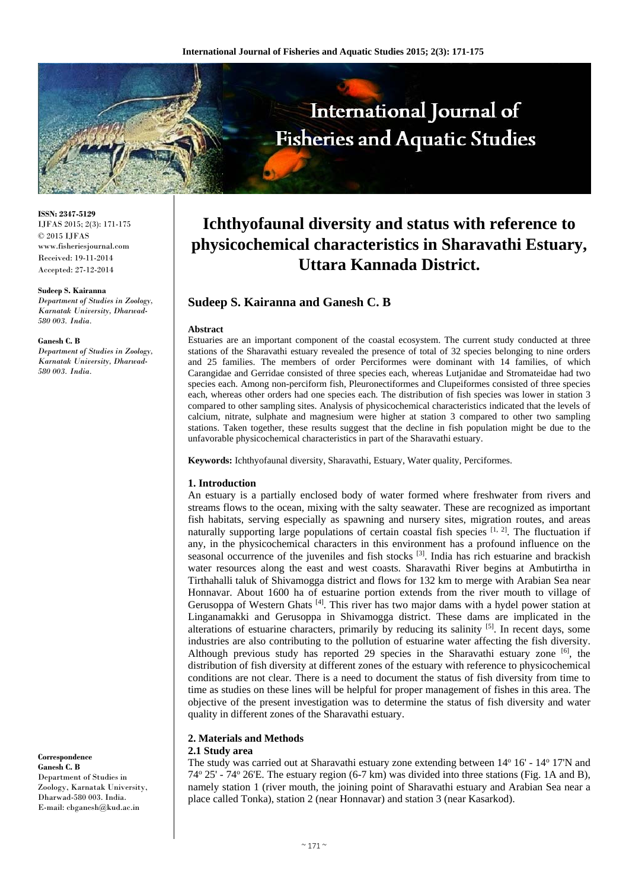

**ISSN: 2347-5129** IJFAS 2015; 2(3): 171-175 © 2015 IJFAS www.fisheriesjournal.com Received: 19-11-2014 Accepted: 27-12-2014

#### **Sudeep S. Kairanna**

*Department of Studies in Zoology, Karnatak University, Dharwad-580 003. India.* 

#### **Ganesh C. B**

*Department of Studies in Zoology, Karnatak University, Dharwad-580 003. India.*

#### **Correspondence Ganesh C. B**

Department of Studies in Zoology, Karnatak University, Dharwad-580 003. India. E-mail: cbganesh@kud.ac.in

# **Ichthyofaunal diversity and status with reference to physicochemical characteristics in Sharavathi Estuary, Uttara Kannada District.**

# **Sudeep S. Kairanna and Ganesh C. B**

#### **Abstract**

Estuaries are an important component of the coastal ecosystem. The current study conducted at three stations of the Sharavathi estuary revealed the presence of total of 32 species belonging to nine orders and 25 families. The members of order Perciformes were dominant with 14 families, of which Carangidae and Gerridae consisted of three species each, whereas Lutjanidae and Stromateidae had two species each. Among non-perciform fish, Pleuronectiformes and Clupeiformes consisted of three species each, whereas other orders had one species each. The distribution of fish species was lower in station 3 compared to other sampling sites. Analysis of physicochemical characteristics indicated that the levels of calcium, nitrate, sulphate and magnesium were higher at station 3 compared to other two sampling stations. Taken together, these results suggest that the decline in fish population might be due to the unfavorable physicochemical characteristics in part of the Sharavathi estuary.

**Keywords:** Ichthyofaunal diversity, Sharavathi, Estuary, Water quality, Perciformes.

#### **1. Introduction**

An estuary is a partially enclosed body of water formed where freshwater from rivers and streams flows to the ocean, mixing with the salty seawater. These are recognized as important fish habitats, serving especially as spawning and nursery sites, migration routes, and areas naturally supporting large populations of certain coastal fish species  $[1, 2]$ . The fluctuation if any, in the physicochemical characters in this environment has a profound influence on the seasonal occurrence of the juveniles and fish stocks  $[3]$ . India has rich estuarine and brackish water resources along the east and west coasts. Sharavathi River begins at Ambutirtha in Tirthahalli taluk of Shivamogga district and flows for 132 km to merge with Arabian Sea near Honnavar. About 1600 ha of estuarine portion extends from the river mouth to village of Gerusoppa of Western Ghats [4]. This river has two major dams with a hydel power station at Linganamakki and Gerusoppa in Shivamogga district. These dams are implicated in the alterations of estuarine characters, primarily by reducing its salinity [5]. In recent days, some industries are also contributing to the pollution of estuarine water affecting the fish diversity. Although previous study has reported 29 species in the Sharavathi estuary zone  $[6]$ , the distribution of fish diversity at different zones of the estuary with reference to physicochemical conditions are not clear. There is a need to document the status of fish diversity from time to time as studies on these lines will be helpful for proper management of fishes in this area. The objective of the present investigation was to determine the status of fish diversity and water quality in different zones of the Sharavathi estuary.

#### **2. Materials and Methods**

#### **2.1 Study area**

The study was carried out at Sharavathi estuary zone extending between 14° 16' - 14° 17'N and 74o 25' - 74o 26'E. The estuary region (6-7 km) was divided into three stations (Fig. 1A and B), namely station 1 (river mouth, the joining point of Sharavathi estuary and Arabian Sea near a place called Tonka), station 2 (near Honnavar) and station 3 (near Kasarkod).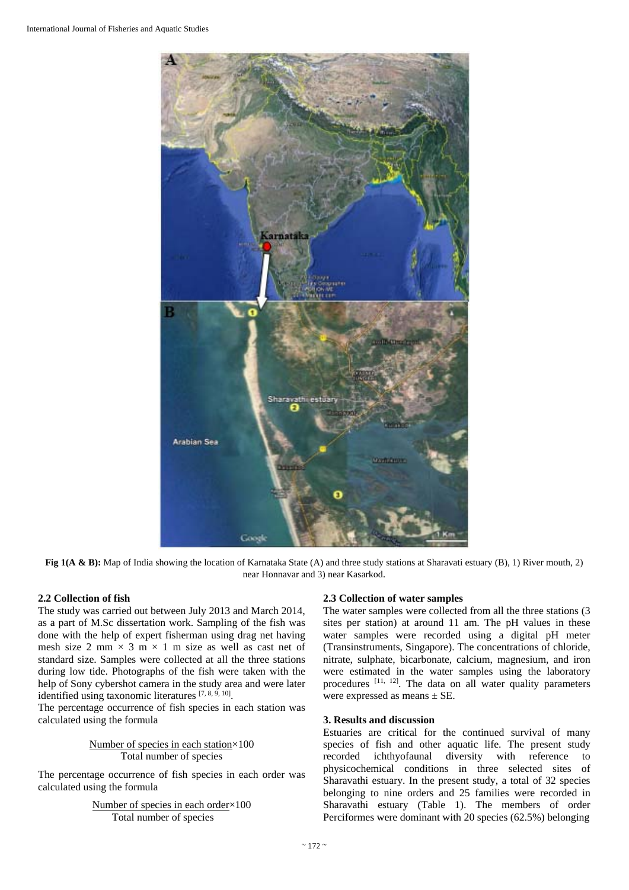

**Fig 1(A & B):** Map of India showing the location of Karnataka State (A) and three study stations at Sharavati estuary (B), 1) River mouth, 2) near Honnavar and 3) near Kasarkod.

## **2.2 Collection of fish**

The study was carried out between July 2013 and March 2014, as a part of M.Sc dissertation work. Sampling of the fish was done with the help of expert fisherman using drag net having mesh size 2 mm  $\times$  3 m  $\times$  1 m size as well as cast net of standard size. Samples were collected at all the three stations during low tide. Photographs of the fish were taken with the help of Sony cybershot camera in the study area and were later identified using taxonomic literatures [7, 8, 9, 10].

The percentage occurrence of fish species in each station was calculated using the formula

> Number of species in each station×100 Total number of species

The percentage occurrence of fish species in each order was calculated using the formula

> Number of species in each order×100 Total number of species

## **2.3 Collection of water samples**

The water samples were collected from all the three stations (3 sites per station) at around 11 am. The pH values in these water samples were recorded using a digital pH meter (Transinstruments, Singapore). The concentrations of chloride, nitrate, sulphate, bicarbonate, calcium, magnesium, and iron were estimated in the water samples using the laboratory procedures  $[11, 12]$ . The data on all water quality parameters were expressed as means  $\pm$  SE.

## **3. Results and discussion**

Estuaries are critical for the continued survival of many species of fish and other aquatic life. The present study recorded ichthyofaunal diversity with reference to physicochemical conditions in three selected sites of Sharavathi estuary. In the present study, a total of 32 species belonging to nine orders and 25 families were recorded in Sharavathi estuary (Table 1). The members of order Perciformes were dominant with 20 species (62.5%) belonging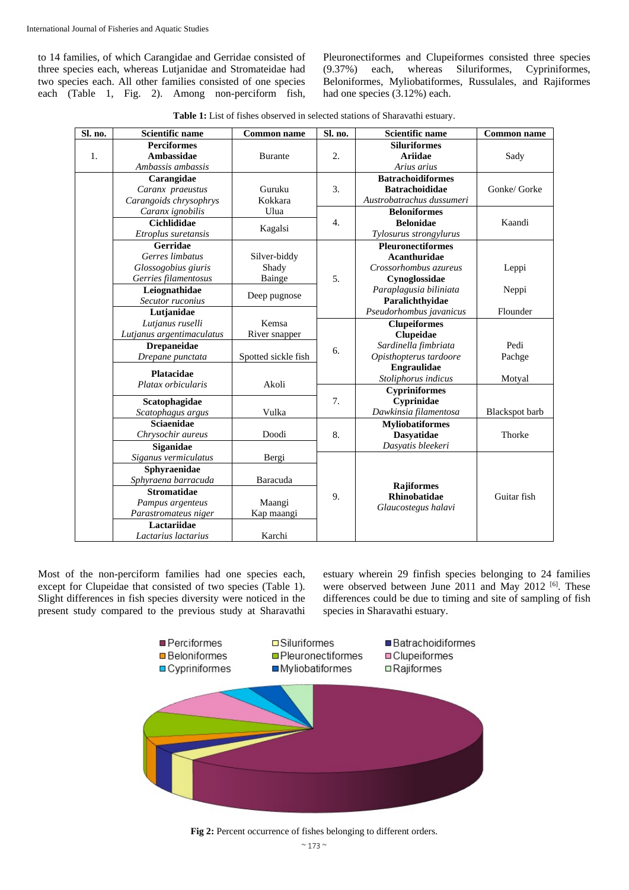to 14 families, of which Carangidae and Gerridae consisted of three species each, whereas Lutjanidae and Stromateidae had two species each. All other families consisted of one species each (Table 1, Fig. 2). Among non-perciform fish,

Pleuronectiformes and Clupeiformes consisted three species (9.37%) each, whereas Siluriformes, Cypriniformes, Beloniformes, Myliobatiformes, Russulales, and Rajiformes had one species (3.12%) each.

**Table 1:** List of fishes observed in selected stations of Sharavathi estuary.

| Sl. no. | <b>Scientific name</b>    | <b>Common name</b>                | Sl. no.          | <b>Scientific name</b>    | <b>Common name</b> |
|---------|---------------------------|-----------------------------------|------------------|---------------------------|--------------------|
|         | <b>Perciformes</b>        |                                   |                  | <b>Siluriformes</b>       |                    |
| 1.      | <b>Ambassidae</b>         | <b>Burante</b>                    | 2.               | <b>Ariidae</b>            | Sady               |
|         | Ambassis ambassis         |                                   |                  | Arius arius               |                    |
|         | Carangidae                |                                   |                  | <b>Batrachoidiformes</b>  |                    |
|         | Caranx praeustus          | Guruku                            | 3.               | <b>Batrachoididae</b>     | Gonke/ Gorke       |
|         | Carangoids chrysophrys    | Kokkara                           |                  | Austrobatrachus dussumeri |                    |
|         | Caranx ignobilis          | Ulua                              | $\overline{4}$ . | <b>Beloniformes</b>       |                    |
|         | <b>Cichlididae</b>        |                                   |                  | <b>Belonidae</b>          | Kaandi             |
|         | Etroplus suretansis       | Kagalsi                           |                  | Tylosurus strongylurus    |                    |
|         | Gerridae                  |                                   |                  | <b>Pleuronectiformes</b>  |                    |
|         | Gerres limbatus           | Silver-biddy                      |                  | <b>Acanthuridae</b>       |                    |
|         | Glossogobius giuris       | Shady                             |                  | Crossorhombus azureus     | Leppi              |
|         | Gerries filamentosus      | Bainge                            | 5.               | Cynoglossidae             |                    |
|         | Leiognathidae             |                                   |                  | Paraplagusia biliniata    | Neppi              |
|         | Secutor ruconius          | Deep pugnose<br>Kemsa             |                  | Paralichthyidae           |                    |
|         | Lutjanidae                |                                   |                  | Pseudorhombus javanicus   | Flounder           |
|         | Lutjanus ruselli          |                                   | 6.               | <b>Clupeiformes</b>       |                    |
|         | Lutjanus argentimaculatus | River snapper                     |                  | Clupeidae                 |                    |
|         | <b>Drepaneidae</b>        |                                   |                  | Sardinella fimbriata      | Pedi               |
|         | Drepane punctata          | Spotted sickle fish               |                  | Opisthopterus tardoore    | Pachge             |
|         | <b>Platacidae</b>         | Akoli                             |                  | Engraulidae               |                    |
|         | Platax orbicularis        |                                   |                  | Stoliphorus indicus       | Motyal             |
|         |                           |                                   | 7.               | <b>Cypriniformes</b>      |                    |
|         | Scatophagidae             |                                   |                  | Cyprinidae                |                    |
|         | Scatophagus argus         | Vulka                             |                  | Dawkinsia filamentosa     | Blackspot barb     |
|         | <b>Sciaenidae</b>         |                                   | 8.               | <b>Myliobatiformes</b>    |                    |
|         | Chrysochir aureus         | Doodi                             |                  | <b>Dasyatidae</b>         | Thorke             |
|         | Siganidae                 |                                   |                  | Dasyatis bleekeri         |                    |
|         | Siganus vermiculatus      | Bergi<br>Sphyraenidae<br>Baracuda | 9.               |                           |                    |
|         |                           |                                   |                  |                           |                    |
|         | Sphyraena barracuda       |                                   |                  | <b>Rajiformes</b>         |                    |
|         | <b>Stromatidae</b>        |                                   |                  | <b>Rhinobatidae</b>       | Guitar fish        |
|         | Pampus argenteus          | Maangi                            |                  | Glaucostegus halavi       |                    |
|         | Parastromateus niger      | Kap maangi                        |                  |                           |                    |
|         | Lactariidae               |                                   |                  |                           |                    |
|         | Lactarius lactarius       | Karchi                            |                  |                           |                    |

Most of the non-perciform families had one species each, except for Clupeidae that consisted of two species (Table 1). Slight differences in fish species diversity were noticed in the present study compared to the previous study at Sharavathi estuary wherein 29 finfish species belonging to 24 families were observed between June 2011 and May 2012 <sup>[6]</sup>. These differences could be due to timing and site of sampling of fish species in Sharavathi estuary.



Fig 2: Percent occurrence of fishes belonging to different orders.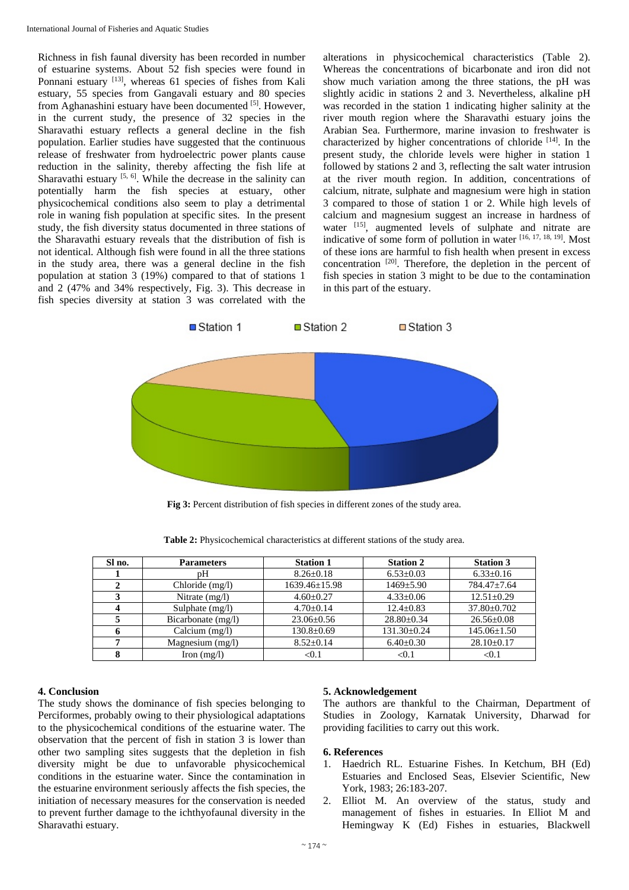Richness in fish faunal diversity has been recorded in number of estuarine systems. About 52 fish species were found in Ponnani estuary [13], whereas 61 species of fishes from Kali estuary, 55 species from Gangavali estuary and 80 species from Aghanashini estuary have been documented [5]. However, in the current study, the presence of 32 species in the Sharavathi estuary reflects a general decline in the fish population. Earlier studies have suggested that the continuous release of freshwater from hydroelectric power plants cause reduction in the salinity, thereby affecting the fish life at Sharavathi estuary  $[5, 6]$ . While the decrease in the salinity can potentially harm the fish species at estuary, other physicochemical conditions also seem to play a detrimental role in waning fish population at specific sites. In the present study, the fish diversity status documented in three stations of the Sharavathi estuary reveals that the distribution of fish is not identical. Although fish were found in all the three stations in the study area, there was a general decline in the fish population at station 3 (19%) compared to that of stations 1 and 2 (47% and 34% respectively, Fig. 3). This decrease in fish species diversity at station 3 was correlated with the alterations in physicochemical characteristics (Table 2). Whereas the concentrations of bicarbonate and iron did not show much variation among the three stations, the pH was slightly acidic in stations 2 and 3. Nevertheless, alkaline pH was recorded in the station 1 indicating higher salinity at the river mouth region where the Sharavathi estuary joins the Arabian Sea. Furthermore, marine invasion to freshwater is characterized by higher concentrations of chloride  $[14]$ . In the present study, the chloride levels were higher in station 1 followed by stations 2 and 3, reflecting the salt water intrusion at the river mouth region. In addition, concentrations of calcium, nitrate, sulphate and magnesium were high in station 3 compared to those of station 1 or 2. While high levels of calcium and magnesium suggest an increase in hardness of water [15], augmented levels of sulphate and nitrate are indicative of some form of pollution in water [16, 17, 18, 19]. Most of these ions are harmful to fish health when present in excess concentration  $[20]$ . Therefore, the depletion in the percent of fish species in station 3 might to be due to the contamination in this part of the estuary.



**Fig 3:** Percent distribution of fish species in different zones of the study area.

| Sl no. | <b>Parameters</b>    | <b>Station 1</b>    | <b>Station 2</b>  | <b>Station 3</b>  |
|--------|----------------------|---------------------|-------------------|-------------------|
|        | pΗ                   | $8.26 \pm 0.18$     | $6.53 \pm 0.03$   | $6.33 \pm 0.16$   |
|        | Chloride (mg/l)      | $1639.46 \pm 15.98$ | $1469 + 5.90$     | $784.47 + 7.64$   |
|        | Nitrate $(mg/l)$     | $4.60 \pm 0.27$     | $4.33 \pm 0.06$   | $12.51 + 0.29$    |
|        | Sulphate $(mg/l)$    | $4.70 \pm 0.14$     | $12.4 + 0.83$     | $37.80 \pm 0.702$ |
|        | Bicarbonate $(mg/l)$ | $23.06 \pm 0.56$    | $28.80 \pm 0.34$  | $26.56 \pm 0.08$  |
|        | Calcium $(mg/l)$     | $130.8 \pm 0.69$    | $131.30 \pm 0.24$ | $145.06 \pm 1.50$ |
|        | Magnesium (mg/l)     | $8.52+0.14$         | $6.40 \pm 0.30$   | $28.10 \pm 0.17$  |
|        | Iron $(mg/l)$        | < 0.1               | < 0.1             | < 0.1             |

**Table 2:** Physicochemical characteristics at different stations of the study area.

## **4. Conclusion**

The study shows the dominance of fish species belonging to Perciformes, probably owing to their physiological adaptations to the physicochemical conditions of the estuarine water. The observation that the percent of fish in station 3 is lower than other two sampling sites suggests that the depletion in fish diversity might be due to unfavorable physicochemical conditions in the estuarine water. Since the contamination in the estuarine environment seriously affects the fish species, the initiation of necessary measures for the conservation is needed to prevent further damage to the ichthyofaunal diversity in the Sharavathi estuary.

## **5. Acknowledgement**

The authors are thankful to the Chairman, Department of Studies in Zoology, Karnatak University, Dharwad for providing facilities to carry out this work.

#### **6. References**

- 1. Haedrich RL. Estuarine Fishes. In Ketchum, BH (Ed) Estuaries and Enclosed Seas, Elsevier Scientific, New York, 1983; 26:183-207.
- 2. Elliot M. An overview of the status, study and management of fishes in estuaries. In Elliot M and Hemingway K (Ed) Fishes in estuaries, Blackwell